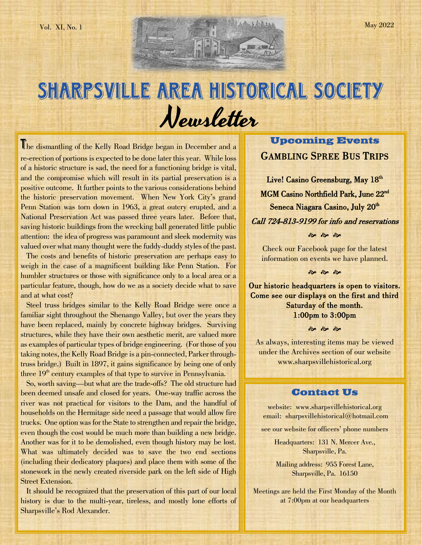# SHARPSVILLE AREA HISTORICAL SOCIETY Newsletter

The dismantling of the Kelly Road Bridge began in December and a re-erection of portions is expected to be done later this year. While loss of a historic structure is sad, the need for a functioning bridge is vital, and the compromise which will result in its partial preservation is a positive outcome. It further points to the various considerations behind the historic preservation movement. When New York City's grand Penn Station was torn down in 1963, a great outcry erupted, and a National Preservation Act was passed three years later. Before that, saving historic buildings from the wrecking ball generated little public attention: the idea of progress was paramount and sleek modernity was valued over what many thought were the fuddy-duddy styles of the past.

 The costs and benefits of historic preservation are perhaps easy to weigh in the case of a magnificent building like Penn Station. For humbler structures or those with significance only to a local area or a particular feature, though, how do we as a society decide what to save and at what cost?

 Steel truss bridges similar to the Kelly Road Bridge were once a familiar sight throughout the Shenango Valley, but over the years they have been replaced, mainly by concrete highway bridges. Surviving structures, while they have their own aesthetic merit, are valued more as examples of particular types of bridge engineering. (For those of you taking notes, the Kelly Road Bridge is a pin-connected, Parker throughtruss bridge.) Built in 1897, it gains significance by being one of only three  $19<sup>th</sup>$  century examples of that type to survive in Pennsylvania.

 So, worth saving—but what are the trade-offs? The old structure had been deemed unsafe and closed for years. One-way traffic across the river was not practical for visitors to the Dam, and the handful of households on the Hermitage side need a passage that would allow fire trucks. One option was for the State to strengthen and repair the bridge, even though the cost would be much more than building a new bridge. Another was for it to be demolished, even though history may be lost. What was ultimately decided was to save the two end sections (including their dedicatory plaques) and place them with some of the stonework in the newly created riverside park on the left side of High Street Extension.

 It should be recognized that the preservation of this part of our local history is due to the multi-year, tireless, and mostly lone efforts of Sharpsville's Rod Alexander.

# **Upcoming Events** GAMBLING SPREE BUS TRIPS

Live! Casino Greensburg, May 18<sup>th</sup> MGM Casino Northfield Park, June 22<sup>nd</sup> Seneca Niagara Casino, July 20<sup>th</sup> Call 724-813-9199 for info and reservations  $\frac{1}{2}$   $\frac{1}{2}$   $\frac{1}{2}$ 

Check our Facebook page for the latest information on events we have planned.

 $\frac{1}{2}$   $\frac{1}{2}$   $\frac{1}{2}$ 

Our historic headquarters is open to visitors. Come see our displays on the first and third Saturday of the month. 1:00pm to 3:00pm

**જી જી જી** 

As always, interesting items may be viewed under the Archives section of our website [www.sharpsvillehistorical.org](http://www.sharpsvillehistorical.org/)

# **Contact Us**

website: www.sharpsvillehistorical.org email: sharpsvillehistorical@hotmail.com

see our website for officers' phone numbers

Headquarters: 131 N. Mercer Ave., Sharpsville, Pa.

Mailing address: 955 Forest Lane, Sharpsville, Pa. 16150

Meetings are held the First Monday of the Month at 7:00pm at our headquarters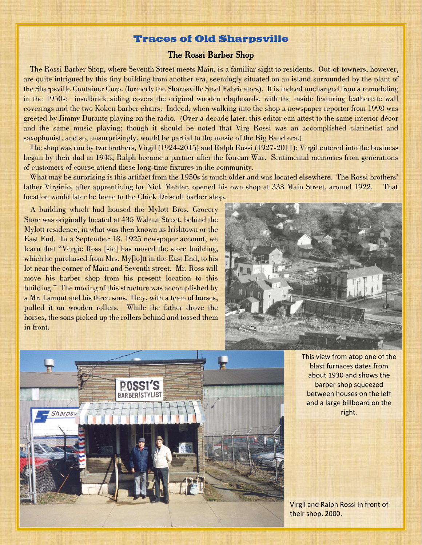# **Traces of Old Sharpsville**

# The Rossi Barber Shop

 The Rossi Barber Shop, where Seventh Street meets Main, is a familiar sight to residents. Out-of-towners, however, are quite intrigued by this tiny building from another era, seemingly situated on an island surrounded by the plant of the Sharpsville Container Corp. (formerly the Sharpsville Steel Fabricators). It is indeed unchanged from a remodeling in the 1950s: insulbrick siding covers the original wooden clapboards, with the inside featuring leatherette wall coverings and the two Koken barber chairs. Indeed, when walking into the shop a newspaper reporter from 1998 was greeted by Jimmy Durante playing on the radio. (Over a decade later, this editor can attest to the same interior décor and the same music playing; though it should be noted that Virg Rossi was an accomplished clarinetist and saxophonist, and so, unsurprisingly, would be partial to the music of the Big Band era.)

 The shop was run by two brothers, Virgil (1924-2015) and Ralph Rossi (1927-2011): Virgil entered into the business begun by their dad in 1945; Ralph became a partner after the Korean War. Sentimental memories from generations of customers of course attend these long-time fixtures in the community.

 What may be surprising is this artifact from the 1950s is much older and was located elsewhere. The Rossi brothers' father Virginio, after apprenticing for Nick Mehler, opened his own shop at 333 Main Street, around 1922. That location would later be home to the Chick Driscoll barber shop.

 A building which had housed the Mylott Bros. Grocery Store was originally located at 435 Walnut Street, behind the Mylott residence, in what was then known as Irishtown or the East End. In a September 18, 1925 newspaper account, we learn that "Vergie Ross [sic] has moved the store building, which he purchased from Mrs. My<sup>[1</sup>o]tt in the East End, to his lot near the corner of Main and Seventh street. Mr. Ross will move his barber shop from his present location to this building." The moving of this structure was accomplished by a Mr. Lamont and his three sons. They, with a team of horses, pulled it on wooden rollers. While the father drove the horses, the sons picked up the rollers behind and tossed them in front.





This view from atop one of the blast furnaces dates from about 1930 and shows the barber shop squeezed between houses on the left and a large billboard on the right.

Virgil and Ralph Rossi in front of their shop, 2000.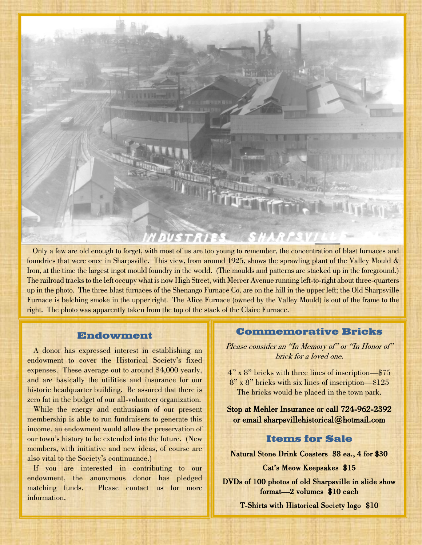

 Only a few are old enough to forget, with most of us are too young to remember, the concentration of blast furnaces and foundries that were once in Sharpsville. This view, from around 1925, shows the sprawling plant of the Valley Mould & Iron, at the time the largest ingot mould foundry in the world. (The moulds and patterns are stacked up in the foreground.) The railroad tracks to the left occupy what is now High Street, with Mercer Avenue running left-to-right about three-quarters up in the photo. The three blast furnaces of the Shenango Furnace Co. are on the hill in the upper left; the Old Sharpsville Furnace is belching smoke in the upper right. The Alice Furnace (owned by the Valley Mould) is out of the frame to the right. The photo was apparently taken from the top of the stack of the Claire Furnace.

# **Endowment**

 A donor has expressed interest in establishing an endowment to cover the Historical Society's fixed expenses. These average out to around \$4,000 yearly, and are basically the utilities and insurance for our historic headquarter building. Be assured that there is zero fat in the budget of our all-volunteer organization.

 While the energy and enthusiasm of our present membership is able to run fundraisers to generate this income, an endowment would allow the preservation of our town's history to be extended into the future. (New members, with initiative and new ideas, of course are also vital to the Society's continuance.)

 If you are interested in contributing to our endowment, the anonymous donor has pledged matching funds. Please contact us for more information.

#### **Commemorative Bricks**

Please consider an "In Memory of" or "In Honor of" brick for a loved one.

4" x 8" bricks with three lines of inscription—\$75 8" x 8" bricks with six lines of inscription—\$125 The bricks would be placed in the town park.

Stop at Mehler Insurance or call 724-962-2392 or email [sharpsvillehistorical@hotmail.com](mailto:sharpsvillehistorical@hotmail.com) 

# **Items for Sale**

Natural Stone Drink Coasters \$8 ea., 4 for \$30

Cat's Meow Keepsakes \$15

DVDs of 100 photos of old Sharpsville in slide show format—2 volumes \$10 each

T-Shirts with Historical Society logo \$10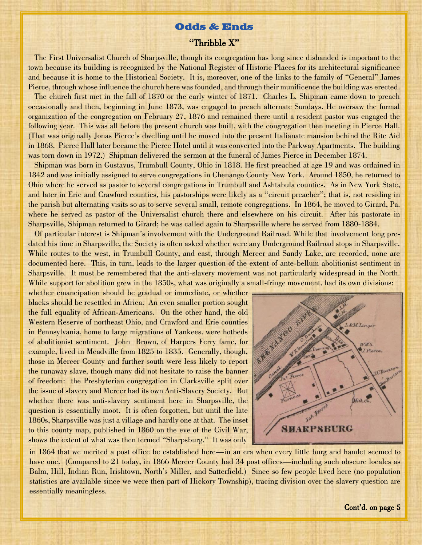#### **Odds & Ends**

#### "Thribble X"

 The First Universalist Church of Sharpsville, though its congregation has long since disbanded is important to the town because its building is recognized by the National Register of Historic Places for its architectural significance and because it is home to the Historical Society. It is, moreover, one of the links to the family of "General" James Pierce, through whose influence the church here was founded, and through their munificence the building was erected.

 The church first met in the fall of 1870 or the early winter of 1871. Charles L. Shipman came down to preach occasionally and then, beginning in June 1873, was engaged to preach alternate Sundays. He oversaw the formal organization of the congregation on February 27, 1876 and remained there until a resident pastor was engaged the following year. This was all before the present church was built, with the congregation then meeting in Pierce Hall. (That was originally Jonas Pierce's dwelling until he moved into the present Italianate mansion behind the Rite Aid in 1868. Pierce Hall later became the Pierce Hotel until it was converted into the Parkway Apartments. The building was torn down in 1972.) Shipman delivered the sermon at the funeral of James Pierce in December 1874.

 Shipman was born in Gustavus, Trumbull County, Ohio in 1818. He first preached at age 19 and was ordained in 1842 and was initially assigned to serve congregations in Chenango County New York. Around 1850, he returned to Ohio where he served as pastor to several congregations in Trumbull and Ashtabula counties. As in New York State, and later in Erie and Crawford counties, his pastorships were likely as a "circuit preacher"; that is, not residing in the parish but alternating visits so as to serve several small, remote congregations. In 1864, he moved to Girard, Pa. where he served as pastor of the Universalist church there and elsewhere on his circuit. After his pastorate in Sharpsville, Shipman returned to Girard; he was called again to Sharpsville where he served from 1880-1884.

 Of particular interest is Shipman's involvement with the Underground Railroad. While that involvement long predated his time in Sharpsville, the Society is often asked whether were any Underground Railroad stops in Sharpsville. While routes to the west, in Trumbull County, and east, through Mercer and Sandy Lake, are recorded, none are documented here. This, in turn, leads to the larger question of the extent of ante-bellum abolitionist sentiment in Sharpsville. It must be remembered that the anti-slavery movement was not particularly widespread in the North. While support for abolition grew in the 1850s, what was originally a small-fringe movement, had its own divisions:

whether emancipation should be gradual or immediate, or whether blacks should be resettled in Africa. An even smaller portion sought the full equality of African-Americans. On the other hand, the old Western Reserve of northeast Ohio, and Crawford and Erie counties in Pennsylvania, home to large migrations of Yankees, were hotbeds of abolitionist sentiment. John Brown, of Harpers Ferry fame, for example, lived in Meadville from 1825 to 1835. Generally, though, those in Mercer County and further south were less likely to report the runaway slave, though many did not hesitate to raise the banner of freedom: the Presbyterian congregation in Clarksville split over the issue of slavery and Mercer had its own Anti-Slavery Society. But whether there was anti-slavery sentiment here in Sharpsville, the question is essentially moot. It is often forgotten, but until the late 1860s, Sharpsville was just a village and hardly one at that. The inset to this county map, published in 1860 on the eve of the Civil War, shows the extent of what was then termed "Sharpsburg." It was only



in 1864 that we merited a post office be established here—in an era when every little burg and hamlet seemed to have one. (Compared to 21 today, in 1866 Mercer County had 34 post offices—including such obscure locales as Balm, Hill, Indian Run, Irishtown, North's Miller, and Satterfield.) Since so few people lived here (no population statistics are available since we were then part of Hickory Township), tracing division over the slavery question are essentially meaningless.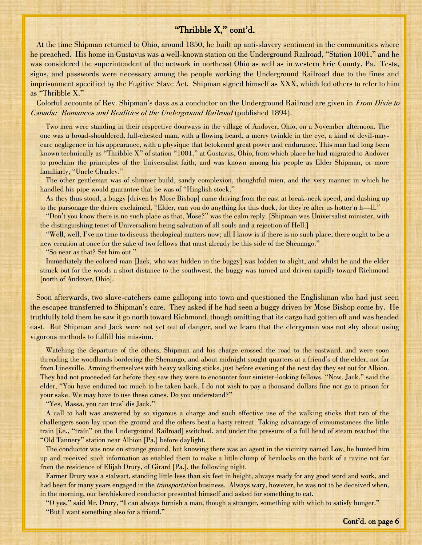# "Thribble X," cont'd.

 At the time Shipman returned to Ohio, around 1850, he built up anti-slavery sentiment in the communities where he preached. His home in Gustavus was a well-known station on the Underground Railroad, "Station 1001," and he was considered the superintendent of the network in northeast Ohio as well as in western Erie County, Pa. Tests, signs, and passwords were necessary among the people working the Underground Railroad due to the fines and imprisonment specified by the Fugitive Slave Act. Shipman signed himself as XXX, which led others to refer to him as "Thribble X."

Colorful accounts of Rev. Shipman's days as a conductor on the Underground Railroad are given in From Dixie to Canada: Romances and Realities of the Underground Railroad (published 1894).

 Two men were standing in their respective doorways in the village of Andover, Ohio, on a November afternoon. The one was a broad-shouldered, full-chested man, with a flowing beard, a merry twinkle in the eye, a kind of devil-maycare negligence in his appearance, with a physique that betokened great power and endurance. This man had long been known technically as "Thribble X" of station "1001," at Gustavus, Ohio, from which place he had migrated to Andover to proclaim the principles of the Universalist faith, and was known among his people as Elder Shipman, or more familiarly, "Uncle Charley."

 The other gentleman was of slimmer build, sandy complexion, thoughtful mien, and the very manner in which he handled his pipe would guarantee that he was of "Hinglish stock."

 As they thus stood, a buggy [driven by Mose Bishop] came driving from the east at break-neck speed, and dashing up to the parsonage the driver exclaimed, "Elder, can you do anything for this duck, for they're after us hotter'n h—ll."

 "Don't you know there is no such place as that, Mose?" was the calm reply. [Shipman was Universalist minister, with the distinguishing tenet of Universalism being salvation of all souls and a rejection of Hell.]

 "Well, well, I've no time to discuss theological matters now; all I know is if there is no such place, there ought to be a new creation at once for the sake of two fellows that must already be this side of the Shenango."

"So near as that? Set him out."

 Immediately the colored man [Jack, who was hidden in the buggy] was bidden to alight, and whilst he and the elder struck out for the woods a short distance to the southwest, the buggy was turned and driven rapidly toward Richmond [north of Andover, Ohio].

 Soon afterwards, two slave-catchers came galloping into town and questioned the Englishman who had just seen the escapee transferred to Shipman's care. They asked if he had seen a buggy driven by Mose Bishop come by. He truthfully told them he saw it go north toward Richmond, though omitting that its cargo had gotten off and was headed east. But Shipman and Jack were not yet out of danger, and we learn that the clergyman was not shy about using vigorous methods to fulfill his mission.

 Watching the departure of the others, Shipman and his charge crossed the road to the eastward, and were soon threading the woodlands bordering the Shenango, and about midnight sought quarters at a friend's of the elder, not far from Linesville. Arming themselves with heavy walking sticks, just before evening of the next day they set out for Albion. They had not proceeded far before they saw they were to encounter four sinister-looking fellows. "Now, Jack," said the elder, "You have endured too much to be taken back. I do not wish to pay a thousand dollars fine nor go to prison for your sake. We may have to use these canes. Do you understand?"

"Yes, Massa, you can trus' dis Jack."

 A call to halt was answered by so vigorous a charge and such effective use of the walking sticks that two of the challengers soon lay upon the ground and the others beat a hasty retreat. Taking advantage of circumstances the little train [i.e., "train" on the Underground Railroad] switched, and under the pressure of a full head of steam reached the "Old Tannery" station near Albion [Pa.] before daylight.

 The conductor was now on strange ground, but knowing there was an agent in the vicinity named Low, he hunted him up and received such information as enabled them to make a little clump of hemlocks on the bank of a ravine not far from the residence of Elijah Drury, of Girard [Pa.], the following night.

 Farmer Drury was a stalwart, standing little less than six feet in height, always ready for any good word and work, and had been for many years engaged in the *transportation* business. Always wary, however, he was not to be deceived when, in the morning, our bewhiskered conductor presented himself and asked for something to eat.

 "O yes," said Mr. Drury, "I can always furnish a man, though a stranger, something with which to satisfy hunger." "But I want something also for a friend."

i